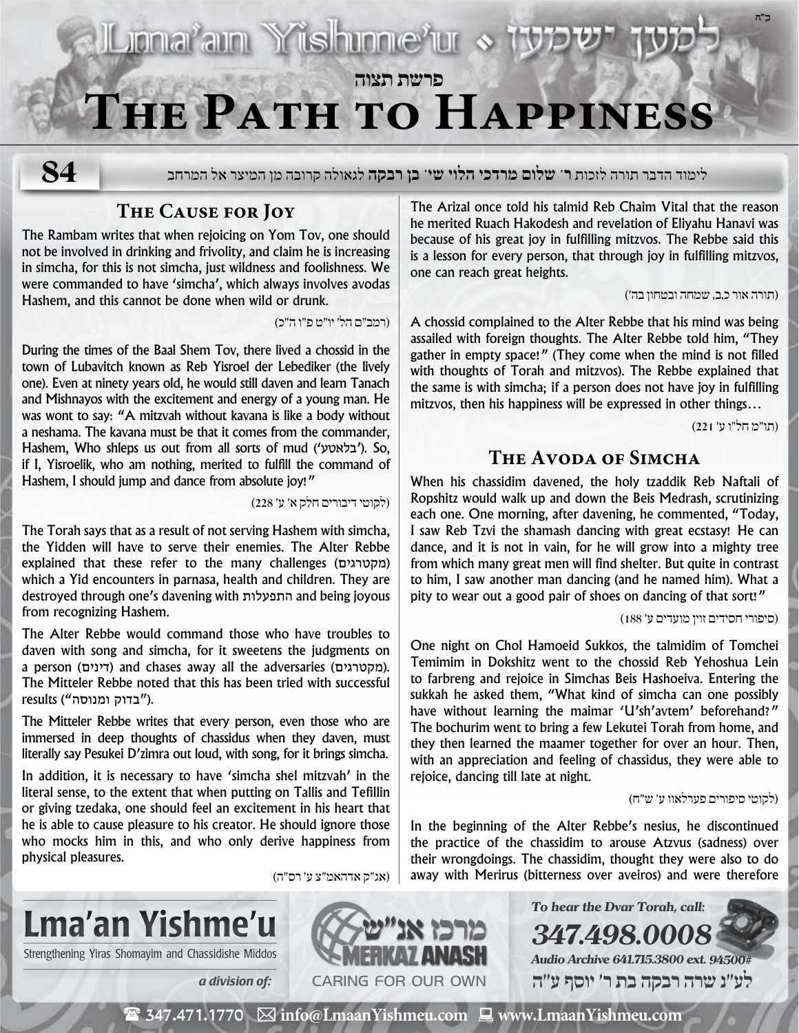## **Ljonaram Yishinnerur פרשת תצוה The Path to Happiness**

**84**

לימוד הדבר תורה לזכות **ר' שלום מרדכי הלוי שי' בן רבקה** לגאולה קרובה מן המיצר אל המרחב

#### **The Cause for Joy**

The Rambam writes that when rejoicing on Yom Tov, one should not be involved in drinking and frivolity, and claim he is increasing in simcha, for this is not simcha, just wildness and foolishness. We were commanded to have 'simcha', which always involves avodas Hashem, and this cannot be done when wild or drunk.

)רמב״ם הל׳ יו״ט פ״ו ה״כ(

During the times of the Baal Shem Tov, there lived a chossid in the town of Lubavitch known as Reb Yisroel der Lebediker (the lively one). Even at ninety years old, he would still daven and learn Tanach and Mishnayos with the excitement and energy of a young man. He was wont to say: "A mitzvah without kavana is like a body without a neshama. The kavana must be that it comes from the commander, Hashem, Who shleps us out from all sorts of mud ('בלאטע('. So, if I, Yisroelik, who am nothing, merited to fulfill the command of Hashem, I should jump and dance from absolute joy!"

)לקוטי דיבורים חלק א׳ ע׳ 228(

The Torah says that as a result of not serving Hashem with simcha, the Yidden will have to serve their enemies. The Alter Rebbe explained that these refer to the many challenges (מקטרגים ( which a Yid encounters in parnasa, health and children. They are destroyed through one's davening with התפעלות and being joyous from recognizing Hashem.

The Alter Rebbe would command those who have troubles to daven with song and simcha, for it sweetens the judgments on a person (דינים) and chases away all the adversaries (מקטרגים). The Mitteler Rebbe noted that this has been tried with successful .("בדוק ומנוסה") results

The Mitteler Rebbe writes that every person, even those who are immersed in deep thoughts of chassidus when they daven, must literally say Pesukei D'zimra out loud, with song, for it brings simcha.

In addition, it is necessary to have 'simcha shel mitzvah' in the literal sense, to the extent that when putting on Tallis and Tefillin or giving tzedaka, one should feel an excitement in his heart that he is able to cause pleasure to his creator. He should ignore those who mocks him in this, and who only derive happiness from physical pleasures.

Strengthening Yiras Shomayim and Chassidishe Middos

Lma'an Yishme'u

The Arizal once told his talmid Reb Chaim Vital that the reason he merited Ruach Hakodesh and revelation of Eliyahu Hanavi was because of his great joy in fulfilling mitzvos. The Rebbe said this is a lesson for every person, that through joy in fulfilling mitzvos, one can reach great heights.

)תורה אור כ,ב, שמחה ובטחון בה**׳**(

A chossid complained to the Alter Rebbe that his mind was being assailed with foreign thoughts. The Alter Rebbe told him, "They gather in empty space!" (They come when the mind is not filled with thoughts of Torah and mitzvos). The Rebbe explained that the same is with simcha; if a person does not have joy in fulfilling mitzvos, then his happiness will be expressed in other things…

)תו״מ חל״ו ע׳ 221(

**ב"ה**

#### **The Avoda of Simcha**

When his chassidim davened, the holy tzaddik Reb Naftali of Ropshitz would walk up and down the Beis Medrash, scrutinizing each one. One morning, after davening, he commented, "Today, I saw Reb Tzvi the shamash dancing with great ecstasy! He can dance, and it is not in vain, for he will grow into a mighty tree from which many great men will find shelter. But quite in contrast to him, I saw another man dancing (and he named him). What a pity to wear out a good pair of shoes on dancing of that sort!"

)סיפורי חסידים זוין מועדים ע׳ 188(

One night on Chol Hamoeid Sukkos, the talmidim of Tomchei Temimim in Dokshitz went to the chossid Reb Yehoshua Lein to farbreng and rejoice in Simchas Beis Hashoeiva. Entering the sukkah he asked them, "What kind of simcha can one possibly have without learning the maimar 'U'sh'avtem' beforehand?" The bochurim went to bring a few Lekutei Torah from home, and they then learned the maamer together for over an hour. Then, with an appreciation and feeling of chassidus, they were able to rejoice, dancing till late at night.

)לקוטי סיפורים פערלאוו ע׳ ש״ח(

In the beginning of the Alter Rebbe's nesius, he discontinued the practice of the chassidim to arouse Atzvus (sadness) over their wrongdoings. The chassidim, thought they were also to do away with Merirus (bitterness over aveiros) and were therefore

**To hear the Dvar Torah, call:**

**Audio Archive 641.715.3800 ext. 94500# לע"נ שרה רבקה בת ר׳ יוסף ע"ה**

**347.498.0008**



 $\mathbf{\mathcal{F}}$  347.471.1770  $\boxtimes$  info@LmaanYishmeu.com  $\mathbf{\mathcal{F}}$  www.LmaanYishmeu.com

)אג״ק אדהאמ״צ ע׳ רס״ה(